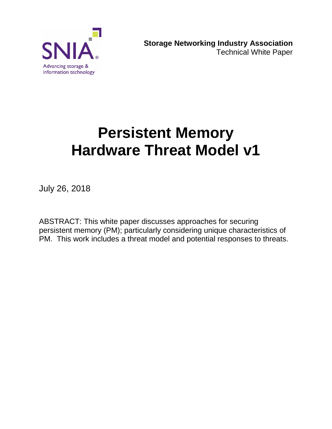

# **Persistent Memory Hardware Threat Model v1**

July 26, 2018

ABSTRACT: This white paper discusses approaches for securing persistent memory (PM); particularly considering unique characteristics of PM. This work includes a threat model and potential responses to threats.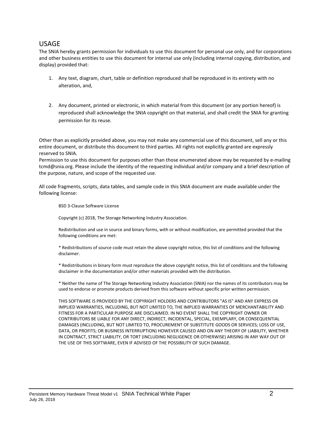#### USAGE

The SNIA hereby grants permission for individuals to use this document for personal use only, and for corporations and other business entities to use this document for internal use only (including internal copying, distribution, and display) provided that:

- 1. Any text, diagram, chart, table or definition reproduced shall be reproduced in its entirety with no alteration, and,
- 2. Any document, printed or electronic, in which material from this document (or any portion hereof) is reproduced shall acknowledge the SNIA copyright on that material, and shall credit the SNIA for granting permission for its reuse.

Other than as explicitly provided above, you may not make any commercial use of this document, sell any or this entire document, or distribute this document to third parties. All rights not explicitly granted are expressly reserved to SNIA.

Permission to use this document for purposes other than those enumerated above may be requested by e-mailing tcmd@snia.org. Please include the identity of the requesting individual and/or company and a brief description of the purpose, nature, and scope of the requested use.

All code fragments, scripts, data tables, and sample code in this SNIA document are made available under the following license:

BSD 3-Clause Software License

Copyright (c) 2018, The Storage Networking Industry Association.

Redistribution and use in source and binary forms, with or without modification, are permitted provided that the following conditions are met:

\* Redistributions of source code must retain the above copyright notice, this list of conditions and the following disclaimer.

\* Redistributions in binary form must reproduce the above copyright notice, this list of conditions and the following disclaimer in the documentation and/or other materials provided with the distribution.

\* Neither the name of The Storage Networking Industry Association (SNIA) nor the names of its contributors may be used to endorse or promote products derived from this software without specific prior written permission.

THIS SOFTWARE IS PROVIDED BY THE COPYRIGHT HOLDERS AND CONTRIBUTORS "AS IS" AND ANY EXPRESS OR IMPLIED WARRANTIES, INCLUDING, BUT NOT LIMITED TO, THE IMPLIED WARRANTIES OF MERCHANTABILITY AND FITNESS FOR A PARTICULAR PURPOSE ARE DISCLAIMED. IN NO EVENT SHALL THE COPYRIGHT OWNER OR CONTRIBUTORS BE LIABLE FOR ANY DIRECT, INDIRECT, INCIDENTAL, SPECIAL, EXEMPLARY, OR CONSEQUENTIAL DAMAGES (INCLUDING, BUT NOT LIMITED TO, PROCUREMENT OF SUBSTITUTE GOODS OR SERVICES; LOSS OF USE, DATA, OR PROFITS; OR BUSINESS INTERRUPTION) HOWEVER CAUSED AND ON ANY THEORY OF LIABILITY, WHETHER IN CONTRACT, STRICT LIABILITY, OR TORT (INCLUDING NEGLIGENCE OR OTHERWISE) ARISING IN ANY WAY OUT OF THE USE OF THIS SOFTWARE, EVEN IF ADVISED OF THE POSSIBILITY OF SUCH DAMAGE.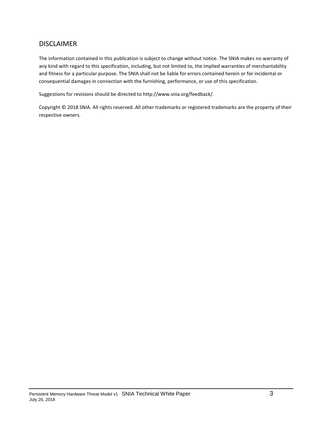#### DISCLAIMER

The information contained in this publication is subject to change without notice. The SNIA makes no warranty of any kind with regard to this specification, including, but not limited to, the implied warranties of merchantability and fitness for a particular purpose. The SNIA shall not be liable for errors contained herein or for incidental or consequential damages in connection with the furnishing, performance, or use of this specification.

Suggestions for revisions should be directed to http://www.snia.org/feedback/.

Copyright © 2018 SNIA. All rights reserved. All other trademarks or registered trademarks are the property of their respective owners.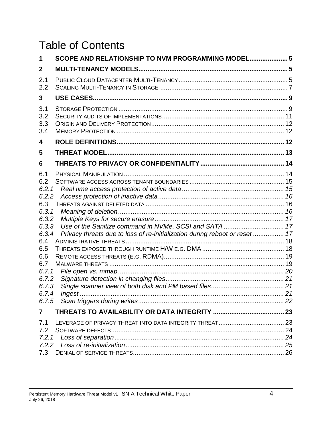# Table of Contents

| 1                                                                                                                                                  | SCOPE AND RELATIONSHIP TO NVM PROGRAMMING MODEL 5                           |  |
|----------------------------------------------------------------------------------------------------------------------------------------------------|-----------------------------------------------------------------------------|--|
| 2                                                                                                                                                  |                                                                             |  |
| 2.1<br>2.2                                                                                                                                         |                                                                             |  |
| 3                                                                                                                                                  |                                                                             |  |
| 3.1<br>3.2<br>3.3<br>3.4                                                                                                                           |                                                                             |  |
| 4                                                                                                                                                  |                                                                             |  |
| 5                                                                                                                                                  |                                                                             |  |
| 6                                                                                                                                                  |                                                                             |  |
| 6.1<br>6.2<br>6.2.1<br>6.2.2<br>6.3<br>6, 3, 1<br>6.3.2<br>6.3.3<br>6.3.4<br>6.4<br>6.5<br>6.6<br>6.7<br>6.7.1<br>6.7.2<br>6.7.3<br>6.7.4<br>6.7.5 | Privacy threats due to loss of re-initialization during reboot or reset  17 |  |
| 7                                                                                                                                                  |                                                                             |  |
| 7.1<br>7.2<br>7.2.1<br>7.2.2<br>7.3                                                                                                                |                                                                             |  |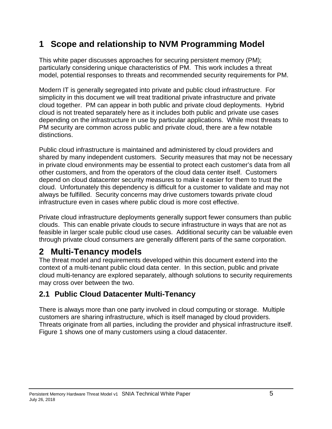# <span id="page-4-0"></span>**1 Scope and relationship to NVM Programming Model**

This white paper discusses approaches for securing persistent memory (PM); particularly considering unique characteristics of PM. This work includes a threat model, potential responses to threats and recommended security requirements for PM.

Modern IT is generally segregated into private and public cloud infrastructure. For simplicity in this document we will treat traditional private infrastructure and private cloud together. PM can appear in both public and private cloud deployments. Hybrid cloud is not treated separately here as it includes both public and private use cases depending on the infrastructure in use by particular applications. While most threats to PM security are common across public and private cloud, there are a few notable distinctions.

Public cloud infrastructure is maintained and administered by cloud providers and shared by many independent customers. Security measures that may not be necessary in private cloud environments may be essential to protect each customer's data from all other customers, and from the operators of the cloud data center itself. Customers depend on cloud datacenter security measures to make it easier for them to trust the cloud. Unfortunately this dependency is difficult for a customer to validate and may not always be fulfilled. Security concerns may drive customers towards private cloud infrastructure even in cases where public cloud is more cost effective.

Private cloud infrastructure deployments generally support fewer consumers than public clouds. This can enable private clouds to secure infrastructure in ways that are not as feasible in larger scale public cloud use cases. Additional security can be valuable even through private cloud consumers are generally different parts of the same corporation.

# <span id="page-4-1"></span>**2 Multi-Tenancy models**

The threat model and requirements developed within this document extend into the context of a multi-tenant public cloud data center. In this section, public and private cloud multi-tenancy are explored separately, although solutions to security requirements may cross over between the two.

# <span id="page-4-2"></span>**2.1 Public Cloud Datacenter Multi-Tenancy**

There is always more than one party involved in cloud computing or storage. Multiple customers are sharing infrastructure, which is itself managed by cloud providers. Threats originate from all parties, including the provider and physical infrastructure itself. [Figure 1](#page-5-0) shows one of many customers using a cloud datacenter.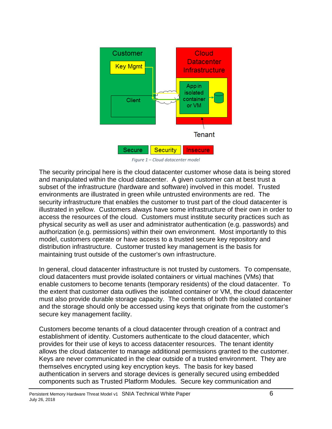

*Figure 1 – Cloud datacenter model*

<span id="page-5-0"></span>The security principal here is the cloud datacenter customer whose data is being stored and manipulated within the cloud datacenter. A given customer can at best trust a subset of the infrastructure (hardware and software) involved in this model. Trusted environments are illustrated in green while untrusted environments are red. The security infrastructure that enables the customer to trust part of the cloud datacenter is illustrated in yellow. Customers always have some infrastructure of their own in order to access the resources of the cloud. Customers must institute security practices such as physical security as well as user and administrator authentication (e.g. passwords) and authorization (e.g. permissions) within their own environment. Most importantly to this model, customers operate or have access to a trusted secure key repository and distribution infrastructure. Customer trusted key management is the basis for maintaining trust outside of the customer's own infrastructure.

In general, cloud datacenter infrastructure is not trusted by customers. To compensate, cloud datacenters must provide isolated containers or virtual machines (VMs) that enable customers to become tenants (temporary residents) of the cloud datacenter. To the extent that customer data outlives the isolated container or VM, the cloud datacenter must also provide durable storage capacity. The contents of both the isolated container and the storage should only be accessed using keys that originate from the customer's secure key management facility.

Customers become tenants of a cloud datacenter through creation of a contract and establishment of identity. Customers authenticate to the cloud datacenter, which provides for their use of keys to access datacenter resources. The tenant identity allows the cloud datacenter to manage additional permissions granted to the customer. Keys are never communicated in the clear outside of a trusted environment. They are themselves encrypted using key encryption keys. The basis for key based authentication in servers and storage devices is generally secured using embedded components such as Trusted Platform Modules. Secure key communication and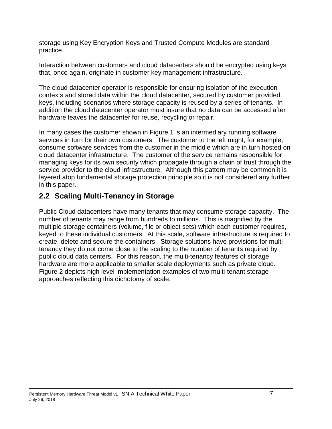storage using Key Encryption Keys and Trusted Compute Modules are standard practice.

Interaction between customers and cloud datacenters should be encrypted using keys that, once again, originate in customer key management infrastructure.

The cloud datacenter operator is responsible for ensuring isolation of the execution contexts and stored data within the cloud datacenter, secured by customer provided keys, including scenarios where storage capacity is reused by a series of tenants. In addition the cloud datacenter operator must insure that no data can be accessed after hardware leaves the datacenter for reuse, recycling or repair.

In many cases the customer shown in [Figure 1](#page-5-0) is an intermediary running software services in turn for their own customers. The customer to the left might, for example, consume software services from the customer in the middle which are in turn hosted on cloud datacenter infrastructure. The customer of the service remains responsible for managing keys for its own security which propagate through a chain of trust through the service provider to the cloud infrastructure. Although this pattern may be common it is layered atop fundamental storage protection principle so it is not considered any further in this paper.

# <span id="page-6-0"></span>**2.2 Scaling Multi-Tenancy in Storage**

Public Cloud datacenters have many tenants that may consume storage capacity. The number of tenants may range from hundreds to millions. This is magnified by the multiple storage containers (volume, file or object sets) which each customer requires, keyed to these individual customers. At this scale, software infrastructure is required to create, delete and secure the containers. Storage solutions have provisions for multitenancy they do not come close to the scaling to the number of tenants required by public cloud data centers. For this reason, the multi-tenancy features of storage hardware are more applicable to smaller scale deployments such as private cloud. [Figure](#page-7-0) 2 depicts high level implementation examples of two multi-tenant storage approaches reflecting this dichotomy of scale.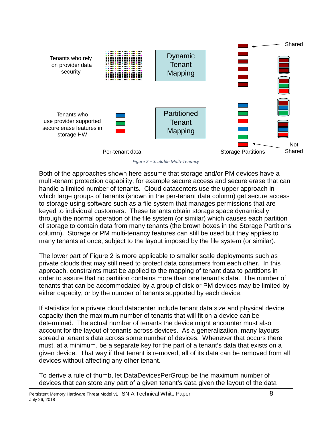

*Figure 2 – Scalable Multi-Tenancy*

<span id="page-7-0"></span>Both of the approaches shown here assume that storage and/or PM devices have a multi-tenant protection capability, for example secure access and secure erase that can handle a limited number of tenants. Cloud datacenters use the upper approach in which large groups of tenants (shown in the per-tenant data column) get secure access to storage using software such as a file system that manages permissions that are keyed to individual customers. These tenants obtain storage space dynamically through the normal operation of the file system (or similar) which causes each partition of storage to contain data from many tenants (the brown boxes in the Storage Partitions column). Storage or PM multi-tenancy features can still be used but they applies to many tenants at once, subject to the layout imposed by the file system (or similar).

The lower part of [Figure 2](#page-7-0) is more applicable to smaller scale deployments such as private clouds that may still need to protect data consumers from each other. In this approach, constraints must be applied to the mapping of tenant data to partitions in order to assure that no partition contains more than one tenant's data. The number of tenants that can be accommodated by a group of disk or PM devices may be limited by either capacity, or by the number of tenants supported by each device.

If statistics for a private cloud datacenter include tenant data size and physical device capacity then the maximum number of tenants that will fit on a device can be determined. The actual number of tenants the device might encounter must also account for the layout of tenants across devices. As a generalization, many layouts spread a tenant's data across some number of devices. Whenever that occurs there must, at a minimum, be a separate key for the part of a tenant's data that exists on a given device. That way if that tenant is removed, all of its data can be removed from all devices without affecting any other tenant.

To derive a rule of thumb, let DataDevicesPerGroup be the maximum number of devices that can store any part of a given tenant's data given the layout of the data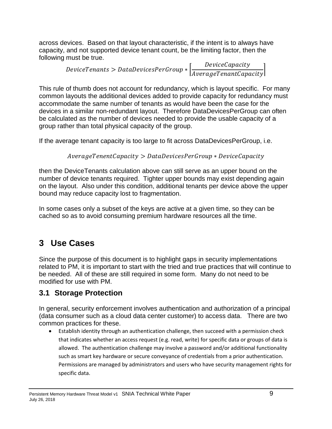across devices. Based on that layout characteristic, if the intent is to always have capacity, and not supported device tenant count, be the limiting factor, then the following must be true.

> DeviceTenants > DataDevicesPerGroup  $\ast$   $\left[\frac{DeviceCapactivity}{Area of PenntCap} \right]$ AverageTenantCapacity

This rule of thumb does not account for redundancy, which is layout specific. For many common layouts the additional devices added to provide capacity for redundancy must accommodate the same number of tenants as would have been the case for the devices in a similar non-redundant layout. Therefore DataDevicesPerGroup can often be calculated as the number of devices needed to provide the usable capacity of a group rather than total physical capacity of the group.

If the average tenant capacity is too large to fit across DataDevicesPerGroup, i.e.

```
Average Tenent Capacity > Data DevicesPerGroup * Device Capacity
```
then the DeviceTenants calculation above can still serve as an upper bound on the number of device tenants required. Tighter upper bounds may exist depending again on the layout. Also under this condition, additional tenants per device above the upper bound may reduce capacity lost to fragmentation.

In some cases only a subset of the keys are active at a given time, so they can be cached so as to avoid consuming premium hardware resources all the time.

# <span id="page-8-0"></span>**3 Use Cases**

Since the purpose of this document is to highlight gaps in security implementations related to PM, it is important to start with the tried and true practices that will continue to be needed. All of these are still required in some form. Many do not need to be modified for use with PM.

# <span id="page-8-1"></span>**3.1 Storage Protection**

In general, security enforcement involves authentication and authorization of a principal (data consumer such as a cloud data center customer) to access data. There are two common practices for these.

• Establish identity through an authentication challenge, then succeed with a permission check that indicates whether an access request (e.g. read, write) for specific data or groups of data is allowed. The authentication challenge may involve a password and/or additional functionality such as smart key hardware or secure conveyance of credentials from a prior authentication. Permissions are managed by administrators and users who have security management rights for specific data.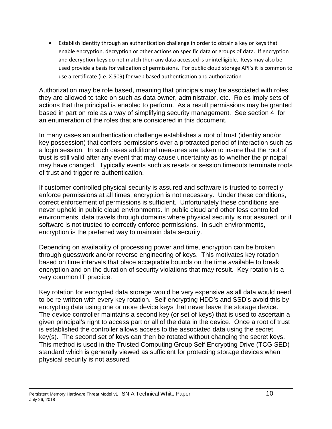• Establish identity through an authentication challenge in order to obtain a key or keys that enable encryption, decryption or other actions on specific data or groups of data. If encryption and decryption keys do not match then any data accessed is unintelligible. Keys may also be used provide a basis for validation of permissions. For public cloud storage API's it is common to use a certificate (i.e. X.509) for web based authentication and authorization

Authorization may be role based, meaning that principals may be associated with roles they are allowed to take on such as data owner, administrator, etc. Roles imply sets of actions that the principal is enabled to perform. As a result permissions may be granted based in part on role as a way of simplifying security management. See section [4](#page-11-2) for an enumeration of the roles that are considered in this document.

In many cases an authentication challenge establishes a root of trust (identity and/or key possession) that confers permissions over a protracted period of interaction such as a login session. In such cases additional measures are taken to insure that the root of trust is still valid after any event that may cause uncertainty as to whether the principal may have changed. Typically events such as resets or session timeouts terminate roots of trust and trigger re-authentication.

If customer controlled physical security is assured and software is trusted to correctly enforce permissions at all times, encryption is not necessary. Under these conditions, correct enforcement of permissions is sufficient. Unfortunately these conditions are never upheld in public cloud environments. In public cloud and other less controlled environments, data travels through domains where physical security is not assured, or if software is not trusted to correctly enforce permissions. In such environments, encryption is the preferred way to maintain data security.

Depending on availability of processing power and time, encryption can be broken through guesswork and/or reverse engineering of keys. This motivates key rotation based on time intervals that place acceptable bounds on the time available to break encryption and on the duration of security violations that may result. Key rotation is a very common IT practice.

Key rotation for encrypted data storage would be very expensive as all data would need to be re-written with every key rotation. Self-encrypting HDD's and SSD's avoid this by encrypting data using one or more device keys that never leave the storage device. The device controller maintains a second key (or set of keys) that is used to ascertain a given principal's right to access part or all of the data in the device. Once a root of trust is established the controller allows access to the associated data using the secret key(s). The second set of keys can then be rotated without changing the secret keys. This method is used in the Trusted Computing Group Self Encrypting Drive (TCG SED) standard which is generally viewed as sufficient for protecting storage devices when physical security is not assured.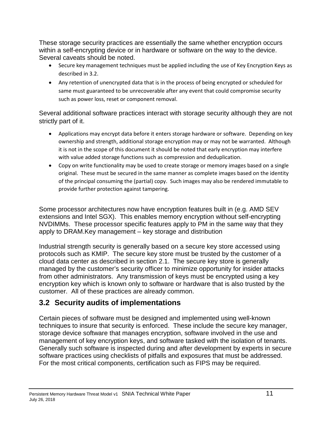These storage security practices are essentially the same whether encryption occurs within a self-encrypting device or in hardware or software on the way to the device. Several caveats should be noted.

- Secure key management techniques must be applied including the use of Key Encryption Keys as described in [3.2.](#page-10-1)
- Any retention of unencrypted data that is in the process of being encrypted or scheduled for same must guaranteed to be unrecoverable after any event that could compromise security such as power loss, reset or component removal.

Several additional software practices interact with storage security although they are not strictly part of it.

- Applications may encrypt data before it enters storage hardware or software. Depending on key ownership and strength, additional storage encryption may or may not be warranted. Although it is not in the scope of this document it should be noted that early encryption may interfere with value added storage functions such as compression and deduplication.
- Copy on write functionality may be used to create storage or memory images based on a single original. These must be secured in the same manner as complete images based on the identity of the principal consuming the (partial) copy. Such images may also be rendered immutable to provide further protection against tampering.

Some processor architectures now have encryption features built in (e.g. AMD SEV extensions and Intel SGX). This enables memory encryption without self-encrypting NVDIMMs. These processor specific features apply to PM in the same way that they apply to DRAM.Key management – key storage and distribution

<span id="page-10-1"></span>Industrial strength security is generally based on a secure key store accessed using protocols such as KMIP. The secure key store must be trusted by the customer of a cloud data center as described in section [2.1.](#page-4-2) The secure key store is generally managed by the customer's security officer to minimize opportunity for insider attacks from other administrators. Any transmission of keys must be encrypted using a key encryption key which is known only to software or hardware that is also trusted by the customer. All of these practices are already common.

# <span id="page-10-0"></span>**3.2 Security audits of implementations**

Certain pieces of software must be designed and implemented using well-known techniques to insure that security is enforced. These include the secure key manager, storage device software that manages encryption, software involved in the use and management of key encryption keys, and software tasked with the isolation of tenants. Generally such software is inspected during and after development by experts in secure software practices using checklists of pitfalls and exposures that must be addressed. For the most critical components, certification such as FIPS may be required.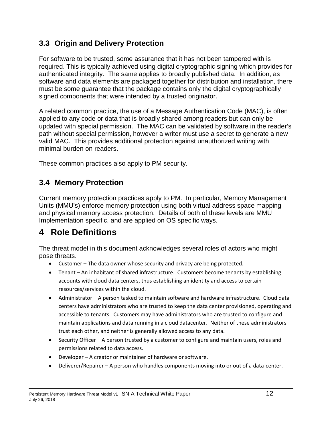### <span id="page-11-0"></span>**3.3 Origin and Delivery Protection**

For software to be trusted, some assurance that it has not been tampered with is required. This is typically achieved using digital cryptographic signing which provides for authenticated integrity. The same applies to broadly published data. In addition, as software and data elements are packaged together for distribution and installation, there must be some guarantee that the package contains only the digital cryptographically signed components that were intended by a trusted originator.

A related common practice, the use of a Message Authentication Code (MAC), is often applied to any code or data that is broadly shared among readers but can only be updated with special permission. The MAC can be validated by software in the reader's path without special permission, however a writer must use a secret to generate a new valid MAC. This provides additional protection against unauthorized writing with minimal burden on readers.

These common practices also apply to PM security.

# <span id="page-11-1"></span>**3.4 Memory Protection**

Current memory protection practices apply to PM. In particular, Memory Management Units (MMU's) enforce memory protection using both virtual address space mapping and physical memory access protection. Details of both of these levels are MMU Implementation specific, and are applied on OS specific ways.

# <span id="page-11-2"></span>**4 Role Definitions**

The threat model in this document acknowledges several roles of actors who might pose threats.

- Customer The data owner whose security and privacy are being protected.
- Tenant An inhabitant of shared infrastructure. Customers become tenants by establishing accounts with cloud data centers, thus establishing an identity and access to certain resources/services within the cloud.
- Administrator A person tasked to maintain software and hardware infrastructure. Cloud data centers have administrators who are trusted to keep the data center provisioned, operating and accessible to tenants. Customers may have administrators who are trusted to configure and maintain applications and data running in a cloud datacenter. Neither of these administrators trust each other, and neither is generally allowed access to any data.
- Security Officer A person trusted by a customer to configure and maintain users, roles and permissions related to data access.
- Developer A creator or maintainer of hardware or software.
- Deliverer/Repairer A person who handles components moving into or out of a data-center.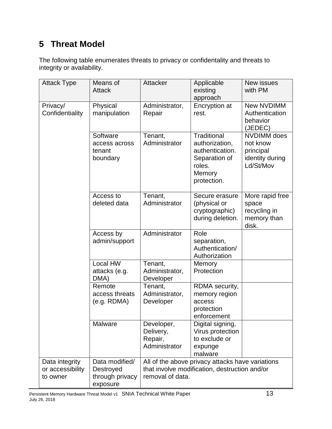# <span id="page-12-0"></span>**5 Threat Model**

The following table enumerates threats to privacy or confidentality and threats to integrity or availability.

| <b>Attack Type</b>                             | Means of<br><b>Attack</b>                                  | Attacker                                                                                                              | Applicable<br>existing<br>approach                                                                   | <b>New issues</b><br>with PM                                                |
|------------------------------------------------|------------------------------------------------------------|-----------------------------------------------------------------------------------------------------------------------|------------------------------------------------------------------------------------------------------|-----------------------------------------------------------------------------|
| Privacy/<br>Confidentiality                    | Physical<br>manipulation                                   | Administrator,<br>Repair                                                                                              | Encryption at<br>rest.                                                                               | <b>New NVDIMM</b><br>Authentication<br>behavior<br>(JEDEC)                  |
|                                                | Software<br>access across<br>tenant<br>boundary            | Tenant,<br>Administrator                                                                                              | Traditional<br>authorization,<br>authentication.<br>Separation of<br>roles.<br>Memory<br>protection. | <b>NVDIMM</b> does<br>not know<br>principal<br>identity during<br>Ld/St/Mov |
|                                                | Access to<br>deleted data                                  | Tenant,<br>Administrator                                                                                              | Secure erasure<br>(physical or<br>cryptographic)<br>during deletion.                                 | More rapid free<br>space<br>recycling in<br>memory than<br>disk.            |
|                                                | Access by<br>admin/support                                 | Administrator                                                                                                         | Role<br>separation,<br>Authentication/<br>Authorization                                              |                                                                             |
|                                                | Local HW<br>attacks (e.g.<br>DMA)                          | Tenant,<br>Administrator,<br>Developer                                                                                | Memory<br>Protection                                                                                 |                                                                             |
|                                                | Remote<br>access threats<br>(e.g. RDMA)                    | Tenant,<br>Administrator,<br>Developer                                                                                | RDMA security,<br>memory region<br>access<br>protection<br>enforcement                               |                                                                             |
|                                                | Malware                                                    | Developer,<br>Delivery,<br>Repair,<br>Administrator                                                                   | Digital signing,<br>Virus protection<br>to exclude or<br>expunge<br>malware                          |                                                                             |
| Data integrity<br>or accessibility<br>to owner | Data modified/<br>Destroyed<br>through privacy<br>exposure | All of the above privacy attacks have variations<br>that involve modification, destruction and/or<br>removal of data. |                                                                                                      |                                                                             |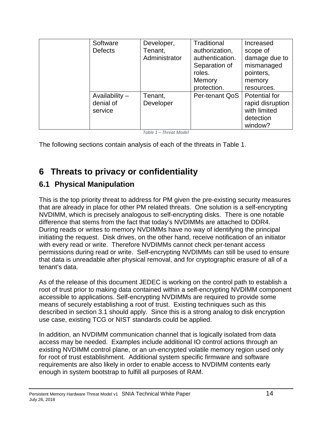| Software<br><b>Defects</b>               | Developer,<br>Tenant,<br>Administrator | <b>Traditional</b><br>authorization,<br>authentication.<br>Separation of<br>roles.<br>Memory<br>protection. | Increased<br>scope of<br>damage due to<br>mismanaged<br>pointers,<br>memory<br>resources. |
|------------------------------------------|----------------------------------------|-------------------------------------------------------------------------------------------------------------|-------------------------------------------------------------------------------------------|
| Availability $-$<br>denial of<br>service | Tenant,<br>Developer                   | Per-tenant QoS                                                                                              | Potential for<br>rapid disruption<br>with limited<br>detection<br>window?                 |

*Table 1 – Threat Model*

<span id="page-13-2"></span>The following sections contain analysis of each of the threats in [Table 1.](#page-13-2)

# <span id="page-13-0"></span>**6 Threats to privacy or confidentiality**

### <span id="page-13-1"></span>**6.1 Physical Manipulation**

This is the top priority threat to address for PM given the pre-existing security measures that are already in place for other PM related threats. One solution is a self-encrypting NVDIMM, which is precisely analogous to self-encrypting disks. There is one notable difference that stems from the fact that today's NVDIMMs are attached to DDR4. During reads or writes to memory NVDIMMs have no way of identifying the principal initiating the request. Disk drives, on the other hand, receive notification of an initiator with every read or write. Therefore NVDIMMs cannot check per-tenant access permissions during read or write. Self-encrypting NVDIMMs can still be used to ensure that data is unreadable after physical removal, and for cryptographic erasure of all of a tenant's data.

As of the release of this document JEDEC is working on the control path to establish a root of trust prior to making data contained within a self-encrypting NVDIMM component accessible to applications. Self-encrypting NVDIMMs are required to provide some means of securely establishing a root of trust. Existing techniques such as this described in section [3.1](#page-8-1) should apply. Since this is a strong analog to disk encryption use case, existing TCG or NIST standards could be applied.

In addition, an NVDIMM communication channel that is logically isolated from data access may be needed. Examples include additional IO control actions through an existing NVDIMM control plane, or an un-encrypted volatile memory region used only for root of trust establishment. Additional system specific firmware and software requirements are also likely in order to enable access to NVDIMM contents early enough in system bootstrap to fulfill all purposes of RAM.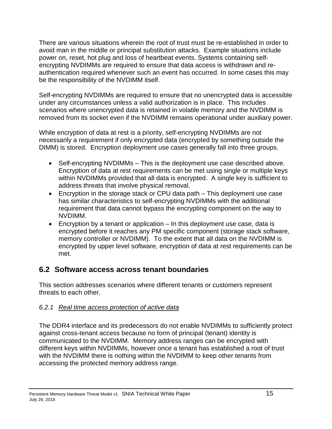There are various situations wherein the root of trust must be re-established in order to avoid man in the middle or principal substitution attacks. Example situations include power on, reset, hot plug and loss of heartbeat events. Systems containing selfencrypting NVDIMMs are required to ensure that data access is withdrawn and reauthentication required whenever such an event has occurred. In some cases this may be the responsibility of the NVDIMM itself.

Self-encrypting NVDIMMs are required to ensure that no unencrypted data is accessible under any circumstances unless a valid authorization is in place. This includes scenarios where unencrypted data is retained in volatile memory and the NVDIMM is removed from its socket even if the NVDIMM remains operational under auxiliary power.

While encryption of data at rest is a priority, self-encrypting NVDIMMs are not necessarily a requirement if only encrypted data (encrypted by something outside the DIMM) is stored. Encryption deployment use cases generally fall into three groups.

- Self-encrypting NVDIMMs This is the deployment use case described above. Encryption of data at rest requirements can be met using single or multiple keys within NVDIMMs provided that all data is encrypted. A single key is sufficient to address threats that involve physical removal.
- Encryption in the storage stack or CPU data path This deployment use case has similar characteristics to self-encrypting NVDIMMs with the additional requirement that data cannot bypass the encrypting component on the way to NVDIMM.
- Encryption by a tenant or application  $-$  In this deployment use case, data is encrypted before it reaches any PM specific component (storage stack software, memory controller or NVDIMM). To the extent that all data on the NVDIMM is encrypted by upper level software, encryption of data at rest requirements can be met.

# <span id="page-14-0"></span>**6.2 Software access across tenant boundaries**

This section addresses scenarios where different tenants or customers represent threats to each other.

#### <span id="page-14-1"></span>*6.2.1 Real time access protection of active data*

The DDR4 interface and its predecessors do not enable NVDIMMs to sufficiently protect against cross-tenant access because no form of principal (tenant) identity is communicated to the NVDIMM. Memory address ranges can be encrypted with different keys within NVDIMMs, however once a tenant has established a root of trust with the NVDIMM there is nothing within the NVDIMM to keep other tenants from accessing the protected memory address range.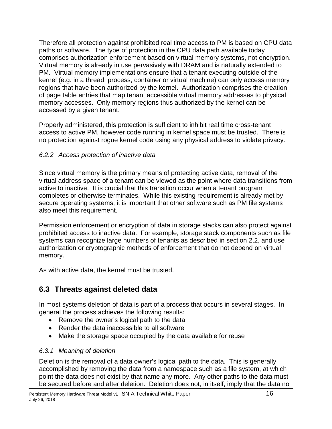Therefore all protection against prohibited real time access to PM is based on CPU data paths or software. The type of protection in the CPU data path available today comprises authorization enforcement based on virtual memory systems, not encryption. Virtual memory is already in use pervasively with DRAM and is naturally extended to PM. Virtual memory implementations ensure that a tenant executing outside of the kernel (e.g. in a thread, process, container or virtual machine) can only access memory regions that have been authorized by the kernel. Authorization comprises the creation of page table entries that map tenant accessible virtual memory addresses to physical memory accesses. Only memory regions thus authorized by the kernel can be accessed by a given tenant.

Properly administered, this protection is sufficient to inhibit real time cross-tenant access to active PM, however code running in kernel space must be trusted. There is no protection against rogue kernel code using any physical address to violate privacy.

#### <span id="page-15-0"></span>*6.2.2 Access protection of inactive data*

Since virtual memory is the primary means of protecting active data, removal of the virtual address space of a tenant can be viewed as the point where data transitions from active to inactive. It is crucial that this transition occur when a tenant program completes or otherwise terminates. While this existing requirement is already met by secure operating systems, it is important that other software such as PM file systems also meet this requirement.

Permission enforcement or encryption of data in storage stacks can also protect against prohibited access to inactive data. For example, storage stack components such as file systems can recognize large numbers of tenants as described in section [2.2,](#page-6-0) and use authorization or cryptographic methods of enforcement that do not depend on virtual memory.

As with active data, the kernel must be trusted.

# <span id="page-15-1"></span>**6.3 Threats against deleted data**

In most systems deletion of data is part of a process that occurs in several stages. In general the process achieves the following results:

- Remove the owner's logical path to the data
- Render the data inaccessible to all software
- Make the storage space occupied by the data available for reuse

#### <span id="page-15-2"></span>*6.3.1 Meaning of deletion*

Deletion is the removal of a data owner's logical path to the data. This is generally accomplished by removing the data from a namespace such as a file system, at which point the data does not exist by that name any more. Any other paths to the data must be secured before and after deletion. Deletion does not, in itself, imply that the data no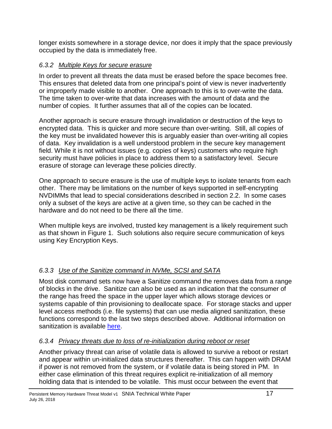longer exists somewhere in a storage device, nor does it imply that the space previously occupied by the data is immediately free.

#### <span id="page-16-0"></span>*6.3.2 Multiple Keys for secure erasure*

In order to prevent all threats the data must be erased before the space becomes free. This ensures that deleted data from one principal's point of view is never inadvertently or improperly made visible to another. One approach to this is to over-write the data. The time taken to over-write that data increases with the amount of data and the number of copies. It further assumes that all of the copies can be located.

Another approach is secure erasure through invalidation or destruction of the keys to encrypted data. This is quicker and more secure than over-writing. Still, all copies of the key must be invalidated however this is arguably easier than over-writing all copies of data. Key invalidation is a well understood problem in the secure key management field. While it is not without issues (e.g. copies of keys) customers who require high security must have policies in place to address them to a satisfactory level. Secure erasure of storage can leverage these policies directly.

One approach to secure erasure is the use of multiple keys to isolate tenants from each other. There may be limitations on the number of keys supported in self-encrypting NVDIMMs that lead to special considerations described in section [2.2.](#page-6-0) In some cases only a subset of the keys are active at a given time, so they can be cached in the hardware and do not need to be there all the time.

When multiple keys are involved, trusted key management is a likely requirement such as that shown in [Figure 1.](#page-5-0) Such solutions also require secure communication of keys using Key Encryption Keys.

### <span id="page-16-1"></span>*6.3.3 Use of the Sanitize command in NVMe, SCSI and SATA*

Most disk command sets now have a Sanitize command the removes data from a range of blocks in the drive. Sanitize can also be used as an indication that the consumer of the range has freed the space in the upper layer which allows storage devices or systems capable of thin provisioning to deallocate space. For storage stacks and upper level access methods (i.e. file systems) that can use media aligned sanitization, these functions correspond to the last two steps described above. Additional information on sanitization is available [here.](http://www.snia.org/sites/default/files/technical_work/SecurityTWG/SNIA-Sanitization-TechWhitepaper.R2.pdf)

#### <span id="page-16-2"></span>*6.3.4 Privacy threats due to loss of re-initialization during reboot or reset*

Another privacy threat can arise of volatile data is allowed to survive a reboot or restart and appear within un-initialized data structures thereafter. This can happen with DRAM if power is not removed from the system, or if volatile data is being stored in PM. In either case elimination of this threat requires explicit re-initialization of all memory holding data that is intended to be volatile. This must occur between the event that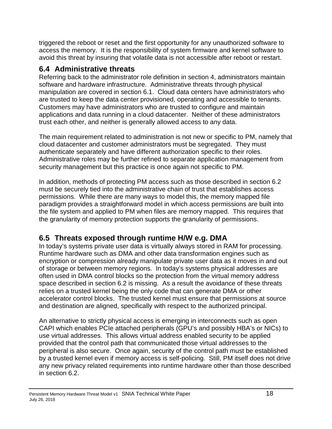triggered the reboot or reset and the first opportunity for any unauthorized software to access the memory. It is the responsibility of system firmware and kernel software to avoid this threat by insuring that volatile data is not accessible after reboot or restart.

# <span id="page-17-0"></span>**6.4 Administrative threats**

Referring back to the administrator role definition in section [4,](#page-11-2) administrators maintain software and hardware infrastructure. Administrative threats through physical manipulation are covered in section [6.1.](#page-13-1) Cloud data centers have administrators who are trusted to keep the data center provisioned, operating and accessible to tenants. Customers may have administrators who are trusted to configure and maintain applications and data running in a cloud datacenter. Neither of these administrators trust each other, and neither is generally allowed access to any data.

The main requirement related to administration is not new or specific to PM, namely that cloud datacenter and customer administrators must be segregated. They must authenticate separately and have different authorization specific to their roles. Administrative roles may be further refined to separate application management from security management but this practice is once again not specific to PM.

In addition, methods of protecting PM access such as those described in section [6.2](#page-14-0) must be securely tied into the administrative chain of trust that establishes access permissions. While there are many ways to model this, the memory mapped file paradigm provides a straightforward model in which access permissions are built into the file system and applied to PM when files are memory mapped. This requires that the granularity of memory protection supports the granularity of permissions.

# <span id="page-17-1"></span>**6.5 Threats exposed through runtime H/W e.g. DMA**

In today's systems private user data is virtually always stored in RAM for processing. Runtime hardware such as DMA and other data transformation engines such as encryption or compression already manipulate private user data as it moves in and out of storage or between memory regions. In today's systems physical addresses are often used in DMA control blocks so the protection from the virtual memory address space described in section [6.2](#page-14-0) is missing. As a result the avoidance of these threats relies on a trusted kernel being the only code that can generate DMA or other accelerator control blocks. The trusted kernel must ensure that permissions at source and destination are aligned, specifically with respect to the authorized principal.

An alternative to strictly physical access is emerging in interconnects such as open CAPI which enables PCIe attached peripherals (GPU's and possibly HBA's or NICs) to use virtual addresses. This allows virtual address enabled security to be applied provided that the control path that communicated those virtual addresses to the peripheral is also secure. Once again, security of the control path must be established by a trusted kernel even if memory access is self-policing. Still, PM itself does not drive any new privacy related requirements into runtime hardware other than those described in section [6.2.](#page-14-0)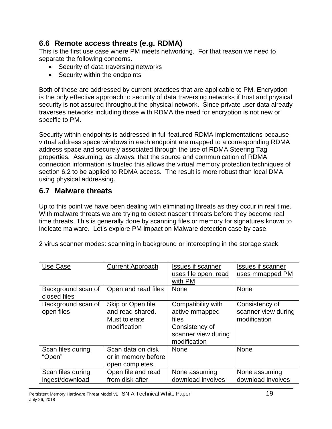### <span id="page-18-0"></span>**6.6 Remote access threats (e.g. RDMA)**

This is the first use case where PM meets networking. For that reason we need to separate the following concerns.

- Security of data traversing networks
- Security within the endpoints

Both of these are addressed by current practices that are applicable to PM. Encryption is the only effective approach to security of data traversing networks if trust and physical security is not assured throughout the physical network. Since private user data already traverses networks including those with RDMA the need for encryption is not new or specific to PM.

Security within endpoints is addressed in full featured RDMA implementations because virtual address space windows in each endpoint are mapped to a corresponding RDMA address space and securely associated through the use of RDMA Steering Tag properties. Assuming, as always, that the source and communication of RDMA connection information is trusted this allows the virtual memory protection techniques of section [6.2](#page-14-0) to be applied to RDMA access. The result is more robust than local DMA using physical addressing.

### <span id="page-18-1"></span>**6.7 Malware threats**

Up to this point we have been dealing with eliminating threats as they occur in real time. With malware threats we are trying to detect nascent threats before they become real time threats. This is generally done by scanning files or memory for signatures known to indicate malware. Let's explore PM impact on Malware detection case by case.

| Use Case                             | <b>Current Approach</b>                                                | <b>Issues if scanner</b><br>uses file open, read<br>with PM                                            | <b>Issues if scanner</b><br>uses mmapped PM           |
|--------------------------------------|------------------------------------------------------------------------|--------------------------------------------------------------------------------------------------------|-------------------------------------------------------|
| Background scan of<br>closed files   | Open and read files                                                    | <b>None</b>                                                                                            | <b>None</b>                                           |
| Background scan of<br>open files     | Skip or Open file<br>and read shared.<br>Must tolerate<br>modification | Compatibility with<br>active mmapped<br>files<br>Consistency of<br>scanner view during<br>modification | Consistency of<br>scanner view during<br>modification |
| Scan files during<br>"Open"          | Scan data on disk<br>or in memory before<br>open completes.            | <b>None</b>                                                                                            | <b>None</b>                                           |
| Scan files during<br>ingest/download | Open file and read<br>from disk after                                  | None assuming<br>download involves                                                                     | None assuming<br>download involves                    |

2 virus scanner modes: scanning in background or intercepting in the storage stack.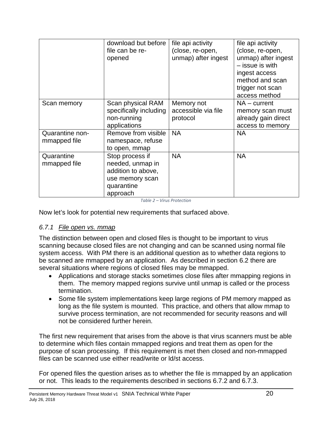|                                 | download but before<br>file can be re-<br>opened                                                       | file api activity<br>(close, re-open,<br>unmap) after ingest | file api activity<br>(close, re-open,<br>unmap) after ingest<br>- issue is with<br>ingest access<br>method and scan<br>trigger not scan<br>access method |
|---------------------------------|--------------------------------------------------------------------------------------------------------|--------------------------------------------------------------|----------------------------------------------------------------------------------------------------------------------------------------------------------|
| Scan memory                     | Scan physical RAM<br>specifically including<br>non-running<br>applications                             | Memory not<br>accessible via file<br>protocol                | $NA$ – current<br>memory scan must<br>already gain direct<br>access to memory                                                                            |
| Quarantine non-<br>mmapped file | Remove from visible<br>namespace, refuse<br>to open, mmap                                              | <b>NA</b>                                                    | <b>NA</b>                                                                                                                                                |
| Quarantine<br>mmapped file      | Stop process if<br>needed, unmap in<br>addition to above,<br>use memory scan<br>quarantine<br>approach | <b>NA</b>                                                    | <b>NA</b>                                                                                                                                                |

*Table 2 – Virus Protection*

Now let's look for potential new requirements that surfaced above.

#### <span id="page-19-0"></span>*6.7.1 File open vs. mmap*

The distinction between open and closed files is thought to be important to virus scanning because closed files are not changing and can be scanned using normal file system access. With PM there is an additional question as to whether data regions to be scanned are mmapped by an application. As described in section [6.2](#page-14-0) there are several situations where regions of closed files may be mmapped.

- Applications and storage stacks sometimes close files after mmapping regions in them. The memory mapped regions survive until unmap is called or the process termination.
- Some file system implementations keep large regions of PM memory mapped as long as the file system is mounted. This practice, and others that allow mmap to survive process termination, are not recommended for security reasons and will not be considered further herein.

The first new requirement that arises from the above is that virus scanners must be able to determine which files contain mmapped regions and treat them as open for the purpose of scan processing. If this requirement is met then closed and non-mmapped files can be scanned use either read/write or ld/st access.

For opened files the question arises as to whether the file is mmapped by an application or not. This leads to the requirements described in sections [6.7.2](#page-20-0) and [6.7.3.](#page-20-1)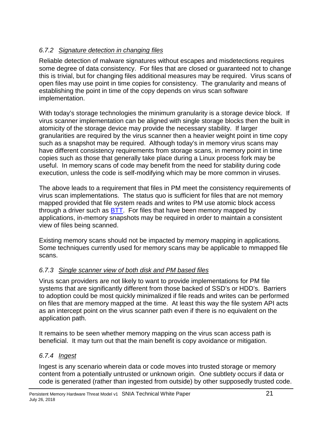#### <span id="page-20-0"></span>*6.7.2 Signature detection in changing files*

Reliable detection of malware signatures without escapes and misdetections requires some degree of data consistency. For files that are closed or guaranteed not to change this is trivial, but for changing files additional measures may be required. Virus scans of open files may use point in time copies for consistency. The granularity and means of establishing the point in time of the copy depends on virus scan software implementation.

With today's storage technologies the minimum granularity is a storage device block. If virus scanner implementation can be aligned with single storage blocks then the built in atomicity of the storage device may provide the necessary stability. If larger granularities are required by the virus scanner then a heavier weight point in time copy such as a snapshot may be required. Although today's in memory virus scans may have different consistency requirements from storage scans, in memory point in time copies such as those that generally take place during a Linux process fork may be useful. In memory scans of code may benefit from the need for stability during code execution, unless the code is self-modifying which may be more common in viruses.

The above leads to a requirement that files in PM meet the consistency requirements of virus scan implementations. The status quo is sufficient for files that are not memory mapped provided that file system reads and writes to PM use atomic block access through a driver such as [BTT.](http://pmem.io/2014/09/23/btt.html) For files that have been memory mapped by applications, in-memory snapshots may be required in order to maintain a consistent view of files being scanned.

Existing memory scans should not be impacted by memory mapping in applications. Some techniques currently used for memory scans may be applicable to mmapped file scans.

#### <span id="page-20-1"></span>*6.7.3 Single scanner view of both disk and PM based files*

Virus scan providers are not likely to want to provide implementations for PM file systems that are significantly different from those backed of SSD's or HDD's. Barriers to adoption could be most quickly minimalized if file reads and writes can be performed on files that are memory mapped at the time. At least this way the file system API acts as an intercept point on the virus scanner path even if there is no equivalent on the application path.

It remains to be seen whether memory mapping on the virus scan access path is beneficial. It may turn out that the main benefit is copy avoidance or mitigation.

#### <span id="page-20-2"></span>*6.7.4 Ingest*

Ingest is any scenario wherein data or code moves into trusted storage or memory content from a potentially untrusted or unknown origin. One subtlety occurs if data or code is generated (rather than ingested from outside) by other supposedly trusted code.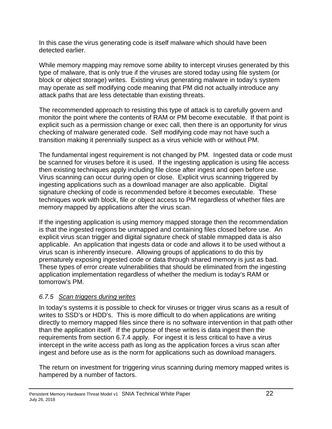In this case the virus generating code is itself malware which should have been detected earlier.

While memory mapping may remove some ability to intercept viruses generated by this type of malware, that is only true if the viruses are stored today using file system (or block or object storage) writes. Existing virus generating malware in today's system may operate as self modifying code meaning that PM did not actually introduce any attack paths that are less detectable than existing threats.

The recommended approach to resisting this type of attack is to carefully govern and monitor the point where the contents of RAM or PM become executable. If that point is explicit such as a permission change or exec call, then there is an opportunity for virus checking of malware generated code. Self modifying code may not have such a transition making it perennially suspect as a virus vehicle with or without PM.

The fundamental ingest requirement is not changed by PM. Ingested data or code must be scanned for viruses before it is used. If the ingesting application is using file access then existing techniques apply including file close after ingest and open before use. Virus scanning can occur during open or close. Explicit virus scanning triggered by ingesting applications such as a download manager are also applicable. Digital signature checking of code is recommended before it becomes executable. These techniques work with block, file or object access to PM regardless of whether files are memory mapped by applications after the virus scan.

If the ingesting application is using memory mapped storage then the recommendation is that the ingested regions be unmapped and containing files closed before use. An explicit virus scan trigger and digital signature check of stable mmapped data is also applicable. An application that ingests data or code and allows it to be used without a virus scan is inherently insecure. Allowing groups of applications to do this by prematurely exposing ingested code or data through shared memory is just as bad. These types of error create vulnerabilities that should be eliminated from the ingesting application implementation regardless of whether the medium is today's RAM or tomorrow's PM.

#### <span id="page-21-0"></span>*6.7.5 Scan triggers during writes*

In today's systems it is possible to check for viruses or trigger virus scans as a result of writes to SSD's or HDD's. This is more difficult to do when applications are writing directly to memory mapped files since there is no software intervention in that path other than the application itself. If the purpose of these writes is data ingest then the requirements from section [6.7.4](#page-20-2) apply. For ingest it is less critical to have a virus intercept in the write access path as long as the application forces a virus scan after ingest and before use as is the norm for applications such as download managers.

The return on investment for triggering virus scanning during memory mapped writes is hampered by a number of factors.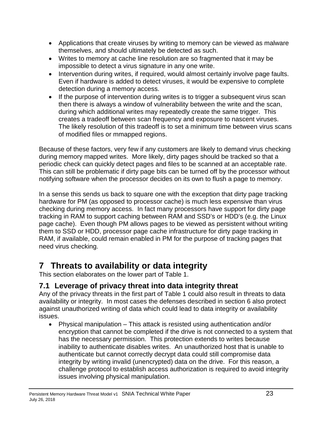- Applications that create viruses by writing to memory can be viewed as malware themselves, and should ultimately be detected as such.
- Writes to memory at cache line resolution are so fragmented that it may be impossible to detect a virus signature in any one write.
- Intervention during writes, if required, would almost certainly involve page faults. Even if hardware is added to detect viruses, it would be expensive to complete detection during a memory access.
- If the purpose of intervention during writes is to trigger a subsequent virus scan then there is always a window of vulnerability between the write and the scan, during which additional writes may repeatedly create the same trigger. This creates a tradeoff between scan frequency and exposure to nascent viruses. The likely resolution of this tradeoff is to set a minimum time between virus scans of modified files or mmapped regions.

Because of these factors, very few if any customers are likely to demand virus checking during memory mapped writes. More likely, dirty pages should be tracked so that a periodic check can quickly detect pages and files to be scanned at an acceptable rate. This can still be problematic if dirty page bits can be turned off by the processor without notifying software when the processor decides on its own to flush a page to memory.

In a sense this sends us back to square one with the exception that dirty page tracking hardware for PM (as opposed to processor cache) is much less expensive than virus checking during memory access. In fact many processors have support for dirty page tracking in RAM to support caching between RAM and SSD's or HDD's (e.g. the Linux page cache). Even though PM allows pages to be viewed as persistent without writing them to SSD or HDD, processor page cache infrastructure for dirty page tracking in RAM, if available, could remain enabled in PM for the purpose of tracking pages that need virus checking.

# <span id="page-22-0"></span>**7 Threats to availability or data integrity**

This section elaborates on the lower part of [Table 1.](#page-13-2)

# <span id="page-22-1"></span>**7.1 Leverage of privacy threat into data integrity threat**

Any of the privacy threats in the first part of [Table 1](#page-13-2) could also result in threats to data availability or integrity. In most cases the defenses described in section [6](#page-13-0) also protect against unauthorized writing of data which could lead to data integrity or availability issues.

• Physical manipulation – This attack is resisted using authentication and/or encryption that cannot be completed if the drive is not connected to a system that has the necessary permission. This protection extends to writes because inability to authenticate disables writes. An unauthorized host that is unable to authenticate but cannot correctly decrypt data could still compromise data integrity by writing invalid (unencrypted) data on the drive. For this reason, a challenge protocol to establish access authorization is required to avoid integrity issues involving physical manipulation.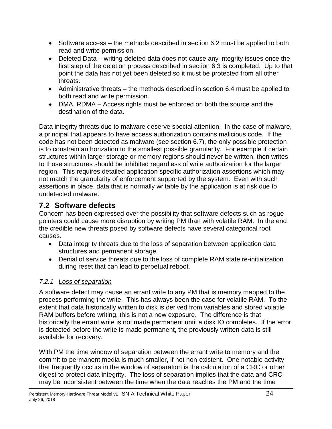- Software access the methods described in section [6.2](#page-14-0) must be applied to both read and write permission.
- Deleted Data writing deleted data does not cause any integrity issues once the first step of the deletion process described in section [6.3](#page-15-1) is completed. Up to that point the data has not yet been deleted so it must be protected from all other threats.
- Administrative threats the methods described in section [6.4](#page-17-0) must be applied to both read and write permission.
- DMA, RDMA Access rights must be enforced on both the source and the destination of the data.

Data integrity threats due to malware deserve special attention. In the case of malware, a principal that appears to have access authorization contains malicious code. If the code has not been detected as malware (see section [6.7\)](#page-18-1), the only possible protection is to constrain authorization to the smallest possible granularity. For example if certain structures within larger storage or memory regions should never be written, then writes to those structures should be inhibited regardless of write authorization for the larger region. This requires detailed application specific authorization assertions which may not match the granularity of enforcement supported by the system. Even with such assertions in place, data that is normally writable by the application is at risk due to undetected malware.

### <span id="page-23-0"></span>**7.2 Software defects**

Concern has been expressed over the possibility that software defects such as rogue pointers could cause more disruption by writing PM than with volatile RAM. In the end the credible new threats posed by software defects have several categorical root causes.

- Data integrity threats due to the loss of separation between application data structures and permanent storage.
- Denial of service threats due to the loss of complete RAM state re-initialization during reset that can lead to perpetual reboot.

#### <span id="page-23-1"></span>*7.2.1 Loss of separation*

A software defect may cause an errant write to any PM that is memory mapped to the process performing the write. This has always been the case for volatile RAM. To the extent that data historically written to disk is derived from variables and stored volatile RAM buffers before writing, this is not a new exposure. The difference is that historically the errant write is not made permanent until a disk IO completes. If the error is detected before the write is made permanent, the previously written data is still available for recovery.

With PM the time window of separation between the errant write to memory and the commit to permanent media is much smaller, if not non-existent. One notable activity that frequently occurs in the window of separation is the calculation of a CRC or other digest to protect data integrity. The loss of separation implies that the data and CRC may be inconsistent between the time when the data reaches the PM and the time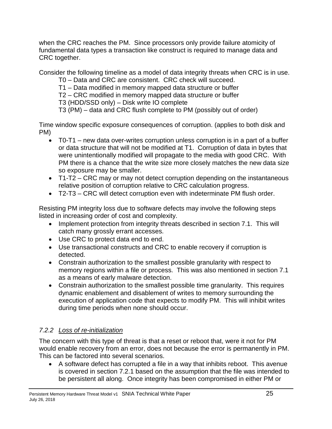when the CRC reaches the PM. Since processors only provide failure atomicity of fundamental data types a transaction like construct is required to manage data and CRC together.

Consider the following timeline as a model of data integrity threats when CRC is in use.

T0 – Data and CRC are consistent. CRC check will succeed.

T1 – Data modified in memory mapped data structure or buffer

T2 – CRC modified in memory mapped data structure or buffer

T3 (HDD/SSD only) – Disk write IO complete

T3 (PM) – data and CRC flush complete to PM (possibly out of order)

Time window specific exposure consequences of corruption. (applies to both disk and PM)

- T0-T1 new data over-writes corruption unless corruption is in a part of a buffer or data structure that will not be modified at T1. Corruption of data in bytes that were unintentionally modified will propagate to the media with good CRC. With PM there is a chance that the write size more closely matches the new data size so exposure may be smaller.
- T1-T2 CRC may or may not detect corruption depending on the instantaneous relative position of corruption relative to CRC calculation progress.
- T2-T3 CRC will detect corruption even with indeterminate PM flush order.

Resisting PM integrity loss due to software defects may involve the following steps listed in increasing order of cost and complexity.

- Implement protection from integrity threats described in section [7.1.](#page-22-1) This will catch many grossly errant accesses.
- Use CRC to protect data end to end.
- Use transactional constructs and CRC to enable recovery if corruption is detected.
- Constrain authorization to the smallest possible granularity with respect to memory regions within a file or process. This was also mentioned in section [7.1](#page-22-1) as a means of early malware detection.
- Constrain authorization to the smallest possible time granularity. This requires dynamic enablement and disablement of writes to memory surrounding the execution of application code that expects to modify PM. This will inhibit writes during time periods when none should occur.

### <span id="page-24-0"></span>*7.2.2 Loss of re-initialization*

The concern with this type of threat is that a reset or reboot that, were it not for PM would enable recovery from an error, does not because the error is permanently in PM. This can be factored into several scenarios.

• A software defect has corrupted a file in a way that inhibits reboot. This avenue is covered in section [7.2.1](#page-23-1) based on the assumption that the file was intended to be persistent all along. Once integrity has been compromised in either PM or